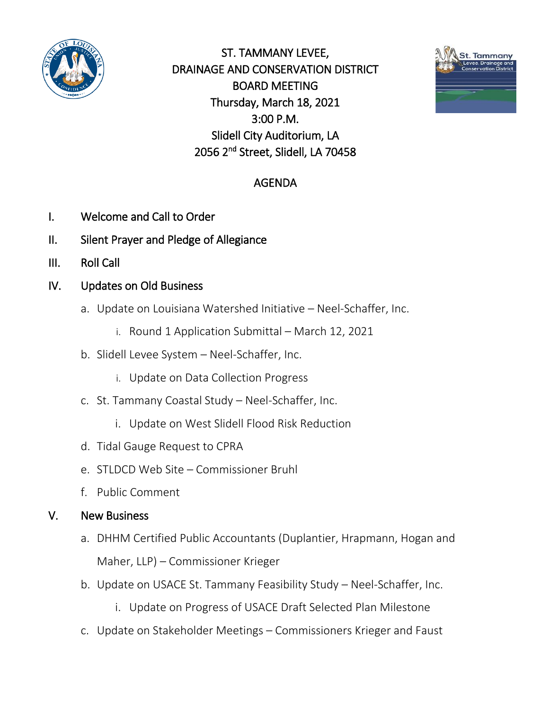

ST. TAMMANY LEVEE, DRAINAGE AND CONSERVATION DISTRICT BOARD MEETING Thursday, March 18, 2021 3:00 P.M. Slidell City Auditorium, LA 2056 2nd Street, Slidell, LA 70458



## AGENDA

- I. Welcome and Call to Order
- II. Silent Prayer and Pledge of Allegiance
- III. Roll Call
- IV. Updates on Old Business
	- a. Update on Louisiana Watershed Initiative Neel-Schaffer, Inc.
		- i. Round 1 Application Submittal March 12, 2021
	- b. Slidell Levee System Neel-Schaffer, Inc.
		- i. Update on Data Collection Progress
	- c. St. Tammany Coastal Study Neel-Schaffer, Inc.
		- i. Update on West Slidell Flood Risk Reduction
	- d. Tidal Gauge Request to CPRA
	- e. STLDCD Web Site Commissioner Bruhl
	- f. Public Comment

### V. New Business

- a. DHHM Certified Public Accountants (Duplantier, Hrapmann, Hogan and Maher, LLP) – Commissioner Krieger
- b. Update on USACE St. Tammany Feasibility Study Neel-Schaffer, Inc.
	- i. Update on Progress of USACE Draft Selected Plan Milestone
- c. Update on Stakeholder Meetings Commissioners Krieger and Faust